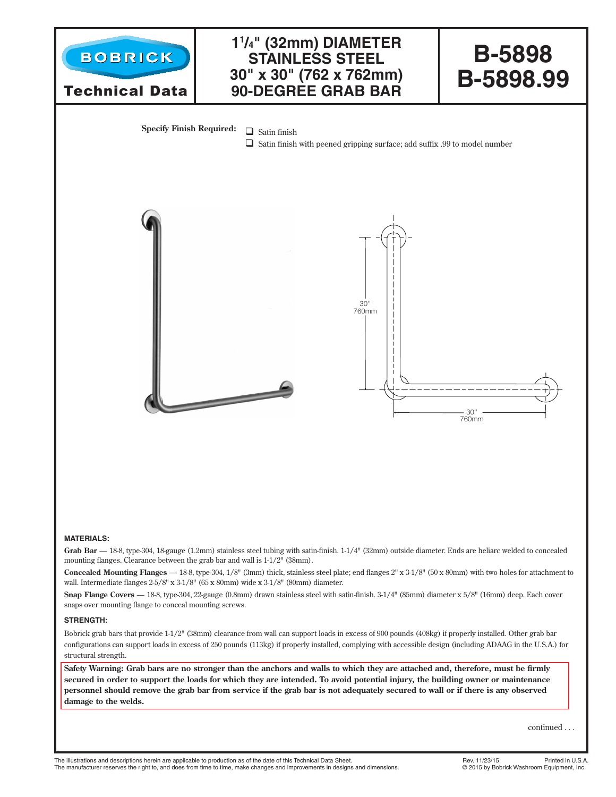

**secured in order to support the loads for which they are intended. To avoid potential injury, the building owner or maintenance personnel should remove the grab bar from service if the grab bar is not adequately secured to wall or if there is any observed damage to the welds.**

continued . . .